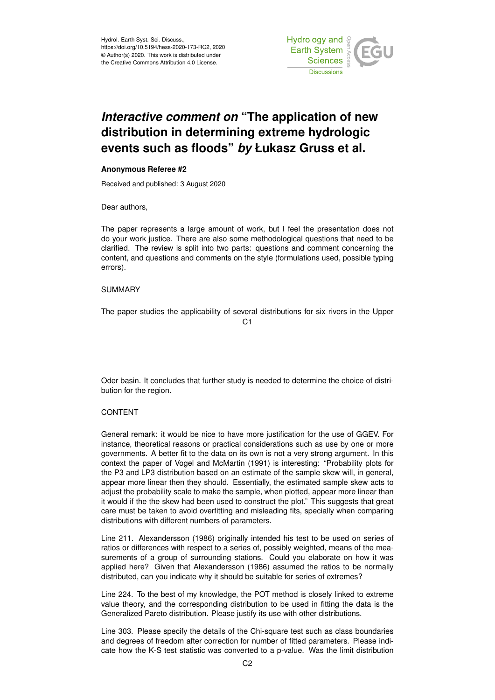

## *Interactive comment on* **"The application of new distribution in determining extreme hydrologic events such as floods"** *by* **Łukasz Gruss et al.**

## **Anonymous Referee #2**

Received and published: 3 August 2020

Dear authors,

The paper represents a large amount of work, but I feel the presentation does not do your work justice. There are also some methodological questions that need to be clarified. The review is split into two parts: questions and comment concerning the content, and questions and comments on the style (formulations used, possible typing errors).

## SUMMARY

The paper studies the applicability of several distributions for six rivers in the Upper C1

Oder basin. It concludes that further study is needed to determine the choice of distribution for the region.

## CONTENT

General remark: it would be nice to have more justification for the use of GGEV. For instance, theoretical reasons or practical considerations such as use by one or more governments. A better fit to the data on its own is not a very strong argument. In this context the paper of Vogel and McMartin (1991) is interesting: "Probability plots for the P3 and LP3 distribution based on an estimate of the sample skew will, in general, appear more linear then they should. Essentially, the estimated sample skew acts to adjust the probability scale to make the sample, when plotted, appear more linear than it would if the the skew had been used to construct the plot." This suggests that great care must be taken to avoid overfitting and misleading fits, specially when comparing distributions with different numbers of parameters.

Line 211. Alexandersson (1986) originally intended his test to be used on series of ratios or differences with respect to a series of, possibly weighted, means of the measurements of a group of surrounding stations. Could you elaborate on how it was applied here? Given that Alexandersson (1986) assumed the ratios to be normally distributed, can you indicate why it should be suitable for series of extremes?

Line 224. To the best of my knowledge, the POT method is closely linked to extreme value theory, and the corresponding distribution to be used in fitting the data is the Generalized Pareto distribution. Please justify its use with other distributions.

Line 303. Please specify the details of the Chi-square test such as class boundaries and degrees of freedom after correction for number of fitted parameters. Please indicate how the K-S test statistic was converted to a p-value. Was the limit distribution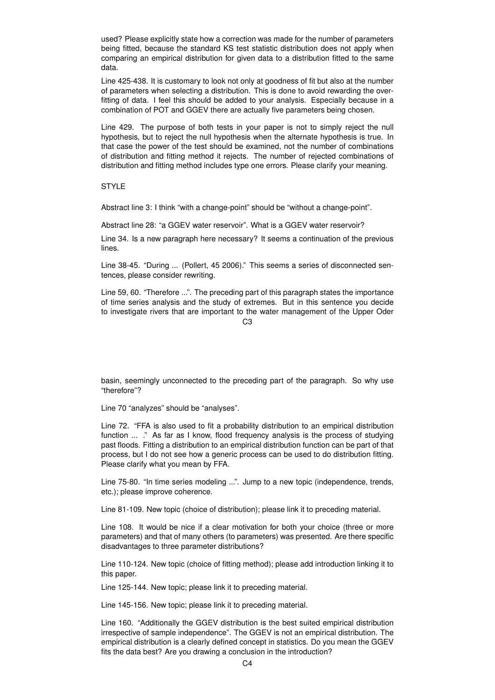used? Please explicitly state how a correction was made for the number of parameters being fitted, because the standard KS test statistic distribution does not apply when comparing an empirical distribution for given data to a distribution fitted to the same data.

Line 425-438. It is customary to look not only at goodness of fit but also at the number of parameters when selecting a distribution. This is done to avoid rewarding the overfitting of data. I feel this should be added to your analysis. Especially because in a combination of POT and GGEV there are actually five parameters being chosen.

Line 429. The purpose of both tests in your paper is not to simply reject the null hypothesis, but to reject the null hypothesis when the alternate hypothesis is true. In that case the power of the test should be examined, not the number of combinations of distribution and fitting method it rejects. The number of rejected combinations of distribution and fitting method includes type one errors. Please clarify your meaning.

STYLE

Abstract line 3: I think "with a change-point" should be "without a change-point".

Abstract line 28: "a GGEV water reservoir". What is a GGEV water reservoir?

Line 34. Is a new paragraph here necessary? It seems a continuation of the previous lines.

Line 38-45. "During ... (Pollert, 45 2006)." This seems a series of disconnected sentences, please consider rewriting.

Line 59, 60. "Therefore ...". The preceding part of this paragraph states the importance of time series analysis and the study of extremes. But in this sentence you decide to investigate rivers that are important to the water management of the Upper Oder

 $C<sub>3</sub>$ 

basin, seemingly unconnected to the preceding part of the paragraph. So why use "therefore"?

Line 70 "analyzes" should be "analyses".

Line 72. "FFA is also used to fit a probability distribution to an empirical distribution function ... ." As far as I know, flood frequency analysis is the process of studying past floods. Fitting a distribution to an empirical distribution function can be part of that process, but I do not see how a generic process can be used to do distribution fitting. Please clarify what you mean by FFA.

Line 75-80. "In time series modeling ...". Jump to a new topic (independence, trends, etc.); please improve coherence.

Line 81-109. New topic (choice of distribution); please link it to preceding material.

Line 108. It would be nice if a clear motivation for both your choice (three or more parameters) and that of many others (to parameters) was presented. Are there specific disadvantages to three parameter distributions?

Line 110-124. New topic (choice of fitting method); please add introduction linking it to this paper.

Line 125-144. New topic; please link it to preceding material.

Line 145-156. New topic; please link it to preceding material.

Line 160. "Additionally the GGEV distribution is the best suited empirical distribution irrespective of sample independence". The GGEV is not an empirical distribution. The empirical distribution is a clearly defined concept in statistics. Do you mean the GGEV fits the data best? Are you drawing a conclusion in the introduction?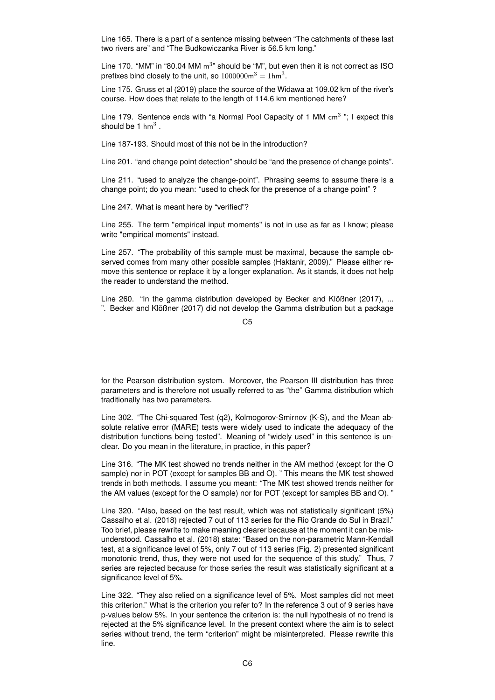Line 165. There is a part of a sentence missing between "The catchments of these last two rivers are" and "The Budkowiczanka River is 56.5 km long."

Line 170. "MM" in "80.04 MM  $m<sup>3</sup>$ " should be "M", but even then it is not correct as ISO prefixes bind closely to the unit, so  $1000000\text{m}^3 = 1\text{hm}^3$ .

Line 175. Gruss et al (2019) place the source of the Widawa at 109.02 km of the river's course. How does that relate to the length of 114.6 km mentioned here?

Line 179. Sentence ends with "a Normal Pool Capacity of 1 MM  $cm<sup>3</sup>$ "; I expect this should be 1 hm<sup>3</sup>.

Line 187-193. Should most of this not be in the introduction?

Line 201. "and change point detection" should be "and the presence of change points".

Line 211. "used to analyze the change-point". Phrasing seems to assume there is a change point; do you mean: "used to check for the presence of a change point" ?

Line 247. What is meant here by "verified"?

Line 255. The term "empirical input moments" is not in use as far as I know; please write "empirical moments" instead.

Line 257. "The probability of this sample must be maximal, because the sample observed comes from many other possible samples (Haktanir, 2009)." Please either remove this sentence or replace it by a longer explanation. As it stands, it does not help the reader to understand the method.

Line 260. "In the gamma distribution developed by Becker and Klößner (2017), ... ". Becker and Klößner (2017) did not develop the Gamma distribution but a package

for the Pearson distribution system. Moreover, the Pearson III distribution has three parameters and is therefore not usually referred to as "the" Gamma distribution which traditionally has two parameters.

Line 302. "The Chi-squared Test (q2), Kolmogorov-Smirnov (K-S), and the Mean absolute relative error (MARE) tests were widely used to indicate the adequacy of the distribution functions being tested". Meaning of "widely used" in this sentence is unclear. Do you mean in the literature, in practice, in this paper?

Line 316. "The MK test showed no trends neither in the AM method (except for the O sample) nor in POT (except for samples BB and O). " This means the MK test showed trends in both methods. I assume you meant: "The MK test showed trends neither for the AM values (except for the O sample) nor for POT (except for samples BB and O). "

Line 320. "Also, based on the test result, which was not statistically significant (5%) Cassalho et al. (2018) rejected 7 out of 113 series for the Rio Grande do Sul in Brazil." Too brief, please rewrite to make meaning clearer because at the moment it can be misunderstood. Cassalho et al. (2018) state: "Based on the non-parametric Mann-Kendall test, at a significance level of 5%, only 7 out of 113 series (Fig. 2) presented significant monotonic trend, thus, they were not used for the sequence of this study." Thus, 7 series are rejected because for those series the result was statistically significant at a significance level of 5%.

Line 322. "They also relied on a significance level of 5%. Most samples did not meet this criterion." What is the criterion you refer to? In the reference 3 out of 9 series have p-values below 5%. In your sentence the criterion is: the null hypothesis of no trend is rejected at the 5% significance level. In the present context where the aim is to select series without trend, the term "criterion" might be misinterpreted. Please rewrite this line.

C5